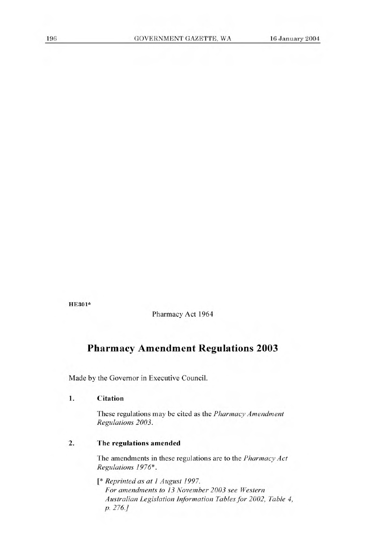HE301\*

Pharmacy Act 1964

# **Pharmacy Amendment Regulations 2003**

Made by the Governor in Executive Council.

#### **1. Citation**

These regulations may be cited as the *Pharmacy Amendment Regulations 2003.* 

# **2. The regulations amended**

The amendments in these regulations are to the *Pharmacy Act Regulations 1976\*.* 

*[\* Reprinted as at 1 August 1997. For amendments to 13 November 2003 see Western Australian Legislation Information Tables for 2002, Table 4, p. 276.]*